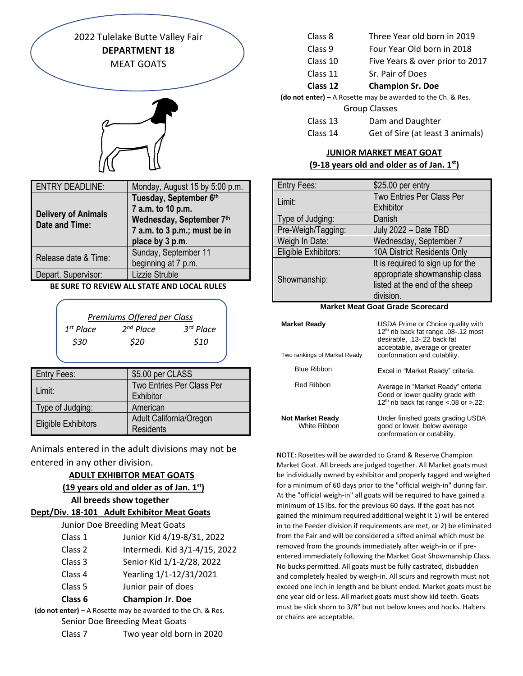2022 Tulelake Butte Valley Fair **DEPARTMENT 18** MEAT GOATS

| <b>ENTRY DEADLINE:</b>                              | Monday, August 15 by 5:00 p.m.                                                                                             |
|-----------------------------------------------------|----------------------------------------------------------------------------------------------------------------------------|
| <b>Delivery of Animals</b><br><b>Date and Time:</b> | Tuesday, September 6th<br>7 a.m. to 10 p.m.<br>Wednesday, September 7th<br>7 a.m. to 3 p.m.; must be in<br>place by 3 p.m. |
| Release date & Time:                                | Sunday, September 11<br>beginning at 7 p.m.                                                                                |
| Depart. Supervisor:                                 | Lizzie Struble                                                                                                             |

#### **BE SURE TO REVIEW ALL STATE AND LOCAL RULES**

|                | Premiums Offered per Class |             |
|----------------|----------------------------|-------------|
| $1^{st}$ Place | $2^{nd}$ Place             | $3rd$ Place |
| \$30           | \$20                       | \$10        |

| <b>Entry Fees:</b>         | \$5.00 per CLASS                 |
|----------------------------|----------------------------------|
| Limit:                     | <b>Two Entries Per Class Per</b> |
|                            | Exhibitor                        |
| Type of Judging:           | American                         |
|                            | Adult California/Oregon          |
| <b>Eligible Exhibitors</b> | <b>Residents</b>                 |

Animals entered in the adult divisions may not be entered in any other division.

## **ADULT EXHIBITOR MEAT GOATS**

## **(19 years old and older as of Jan. 1st) All breeds show together**

## **Dept/Div. 18-101 Adult Exhibitor Meat Goats**

Junior Doe Breeding Meat Goats

- Class 2 Intermedi. Kid 3/1-4/15, 2022
- Class 3 Senior Kid 1/1-2/28, 2022
- Class 4 Yearling 1/1-12/31/2021
- Class 5 Junior pair of does

# **Class 6 Champion Jr. Doe**

**(do not enter) –** A Rosette may be awarded to the Ch. & Res. Senior Doe Breeding Meat Goats Class 7 Two year old born in 2020

| Class 8 | Three Year old born in 2019 |  |  |  |
|---------|-----------------------------|--|--|--|
|         |                             |  |  |  |

- Class 9 Four Year Old born in 2018
- Class 10 Five Years & over prior to 2017
- Class 11 Sr. Pair of Does
- **Class 12 Champion Sr. Doe**

**(do not enter) –** A Rosette may be awarded to the Ch. & Res.

- Group Classes
- Class 13 Dam and Daughter Class 14 Get of Sire (at least 3 animals)

# **JUNIOR MARKET MEAT GOAT**

## **(9-18 years old and older as of Jan. 1st)**

| <b>Entry Fees:</b>   | \$25.00 per entry                 |  |  |
|----------------------|-----------------------------------|--|--|
| Limit:               | Two Entries Per Class Per         |  |  |
|                      | Exhibitor                         |  |  |
| Type of Judging:     | Danish                            |  |  |
| Pre-Weigh/Tagging:   | July 2022 - Date TBD              |  |  |
| Weigh In Date:       | Wednesday, September 7            |  |  |
| Eligible Exhibitors: | 10A District Residents Only       |  |  |
| Showmanship:         | It is required to sign up for the |  |  |
|                      | appropriate showmanship class     |  |  |
|                      | listed at the end of the sheep    |  |  |
|                      | division.                         |  |  |

#### **Market Meat Goat Grade Scorecard**

| <b>Market Ready</b><br>Two rankings of Market Ready | USDA Prime or Choice quality with<br>12 <sup>th</sup> rib back fat range .08-.12 most<br>desirable, .13-.22 back fat<br>acceptable, average or greater<br>conformation and cutablity. |
|-----------------------------------------------------|---------------------------------------------------------------------------------------------------------------------------------------------------------------------------------------|
| <b>Blue Ribbon</b>                                  | Excel in "Market Ready" criteria.                                                                                                                                                     |
| <b>Red Ribbon</b>                                   | Average in "Market Ready" criteria<br>Good or lower quality grade with<br>12 <sup>th</sup> rib back fat range <.08 or >.22;                                                           |
| <b>Not Market Ready</b><br>White Ribbon             | Under finished goats grading USDA<br>good or lower, below average<br>conformation or cutability.                                                                                      |

NOTE: Rosettes will be awarded to Grand & Reserve Champion Market Goat. All breeds are judged together. All Market goats must be individually owned by exhibitor and properly tagged and weighed for a minimum of 60 days prior to the "official weigh-in" during fair. At the "official weigh-in" all goats will be required to have gained a minimum of 15 lbs. for the previous 60 days. If the goat has not gained the minimum required additional weight it 1) will be entered in to the Feeder division if requirements are met, or 2) be eliminated from the Fair and will be considered a sifted animal which must be removed from the grounds immediately after weigh-in or if preentered immediately following the Market Goat Showmanship Class. No bucks permitted. All goats must be fully castrated, disbudden and completely healed by weigh-in. All scurs and regrowth must not exceed one inch in length and be blunt ended. Market goats must be one year old or less. All market goats must show kid teeth. Goats must be slick shorn to 3/8" but not below knees and hocks. Halters or chains are acceptable.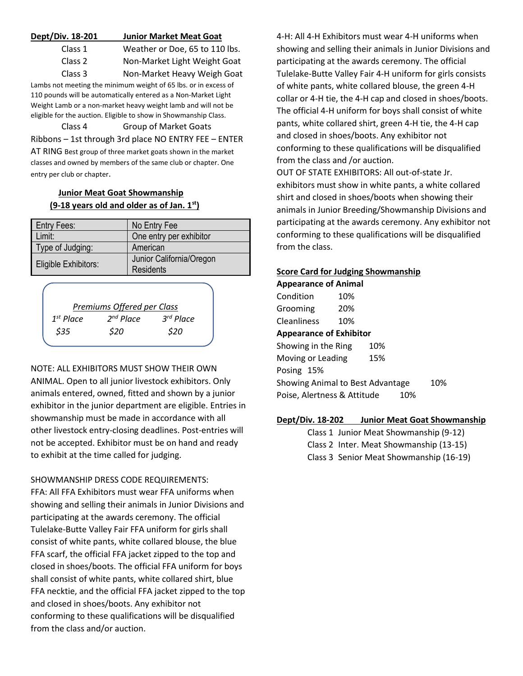| Dept/Div. 18-201 | <b>Junior Market Meat Goat</b> |
|------------------|--------------------------------|
| Class 1          | Weather or Doe, 65 to 110 lbs. |
| Class 2          | Non-Market Light Weight Goat   |
| Class 3          | Non-Market Heavy Weigh Goat    |

Lambs not meeting the minimum weight of 65 lbs. or in excess of 110 pounds will be automatically entered as a Non-Market Light Weight Lamb or a non-market heavy weight lamb and will not be eligible for the auction. Eligible to show in Showmanship Class.

Class 4 Group of Market Goats Ribbons – 1st through 3rd place NO ENTRY FEE – ENTER AT RING Best group of three market goats shown in the market classes and owned by members of the same club or chapter. One entry per club or chapter.

# **Junior Meat Goat Showmanship (9-18 years old and older as of Jan. 1st)**

| <b>Entry Fees:</b>   | No Entry Fee                                 |
|----------------------|----------------------------------------------|
| Limit:               | One entry per exhibitor                      |
| Type of Judging:     | American                                     |
| Eligible Exhibitors: | Junior California/Oregon<br><b>Residents</b> |

| Premiums Offered per Class |                |                       |  |  |
|----------------------------|----------------|-----------------------|--|--|
| $1st$ Place                | $2^{nd}$ Place | 3 <sup>rd</sup> Place |  |  |
| \$35                       | \$20           | \$20                  |  |  |

NOTE: ALL EXHIBITORS MUST SHOW THEIR OWN ANIMAL. Open to all junior livestock exhibitors. Only animals entered, owned, fitted and shown by a junior exhibitor in the junior department are eligible. Entries in showmanship must be made in accordance with all other livestock entry-closing deadlines. Post-entries will not be accepted. Exhibitor must be on hand and ready to exhibit at the time called for judging.

SHOWMANSHIP DRESS CODE REQUIREMENTS: FFA: All FFA Exhibitors must wear FFA uniforms when showing and selling their animals in Junior Divisions and participating at the awards ceremony. The official Tulelake-Butte Valley Fair FFA uniform for girls shall consist of white pants, white collared blouse, the blue FFA scarf, the official FFA jacket zipped to the top and closed in shoes/boots. The official FFA uniform for boys shall consist of white pants, white collared shirt, blue FFA necktie, and the official FFA jacket zipped to the top and closed in shoes/boots. Any exhibitor not conforming to these qualifications will be disqualified from the class and/or auction.

4-H: All 4-H Exhibitors must wear 4-H uniforms when showing and selling their animals in Junior Divisions and participating at the awards ceremony. The official Tulelake-Butte Valley Fair 4-H uniform for girls consists of white pants, white collared blouse, the green 4-H collar or 4-H tie, the 4-H cap and closed in shoes/boots. The official 4-H uniform for boys shall consist of white pants, white collared shirt, green 4-H tie, the 4-H cap and closed in shoes/boots. Any exhibitor not conforming to these qualifications will be disqualified from the class and /or auction.

OUT OF STATE EXHIBITORS: All out-of-state Jr. exhibitors must show in white pants, a white collared shirt and closed in shoes/boots when showing their animals in Junior Breeding/Showmanship Divisions and participating at the awards ceremony. Any exhibitor not conforming to these qualifications will be disqualified from the class.

## **Score Card for Judging Showmanship**

**Appearance of Animal** Condition 10% Grooming 20% Cleanliness 10% **Appearance of Exhibitor** Showing in the Ring 10% Moving or Leading 15% Posing 15% Showing Animal to Best Advantage 10% Poise, Alertness & Attitude 10%

# **Dept/Div. 18-202 Junior Meat Goat Showmanship**

Class 1 Junior Meat Showmanship (9-12) Class 2 Inter. Meat Showmanship (13-15) Class 3 Senior Meat Showmanship (16-19)